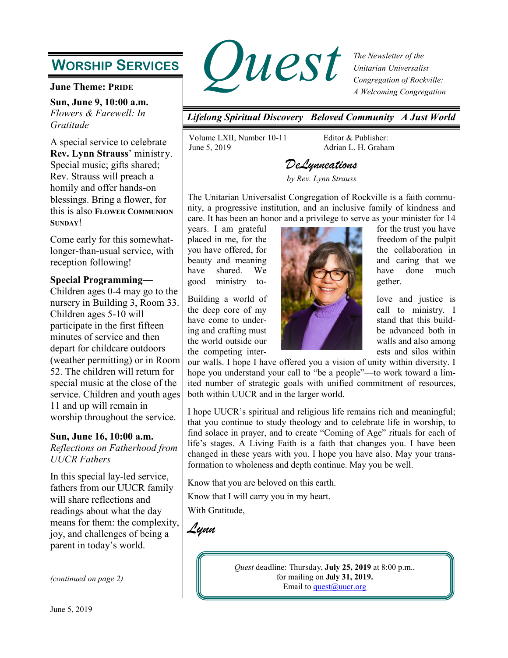## **WORSHIP SERVICES**

**June Theme: PRIDE**

**Sun, June 9, 10:00 a.m.** *Flowers & Farewell: In Gratitude*

A special service to celebrate **Rev. Lynn Strauss**' ministry. Special music; gifts shared; Rev. Strauss will preach a homily and offer hands-on blessings. Bring a flower, for this is also **FLOWER COMMUNION SUNDAY**!

Come early for this somewhatlonger-than-usual service, with reception following!

#### **Special Programming—**

Children ages 0-4 may go to the nursery in Building 3, Room 33. Children ages 5-10 will participate in the first fifteen minutes of service and then depart for childcare outdoors (weather permitting) or in Room 52. The children will return for special music at the close of the service. Children and youth ages 11 and up will remain in worship throughout the service.

#### **Sun, June 16, 10:00 a.m.**

*Reflections on Fatherhood from UUCR Fathers*

In this special lay-led service, fathers from our UUCR family will share reflections and readings about what the day means for them: the complexity, joy, and challenges of being a parent in today's world.

*(continued on page 2)*



*The Newsletter of the Unitarian Universalist Congregation of Rockville: A Welcoming Congregation*

*Lifelong Spiritual Discovery Beloved Community A Just World*

Volume LXII, Number 10-11 June 5, 2019

Editor & Publisher: Adrian L. H. Graham

### *DeLynneations by Rev. Lynn Strauss*

The Unitarian Universalist Congregation of Rockville is a faith community, a progressive institution, and an inclusive family of kindness and care. It has been an honor and a privilege to serve as your minister for 14



the competing inter-<br>
ests and silos within

our walls. I hope I have offered you a vision of unity within diversity. I hope you understand your call to "be a people"—to work toward a limited number of strategic goals with unified commitment of resources, both within UUCR and in the larger world.

I hope UUCR's spiritual and religious life remains rich and meaningful; that you continue to study theology and to celebrate life in worship, to find solace in prayer, and to create "Coming of Age" rituals for each of life's stages. A Living Faith is a faith that changes you. I have been changed in these years with you. I hope you have also. May your transformation to wholeness and depth continue. May you be well.

Know that you are beloved on this earth.

Know that I will carry you in my heart.

With Gratitude,

*Lynn*

*Quest* deadline: Thursday, **July 25, 2019** at 8:00 p.m., for mailing on **July 31, 2019.** Email to quest $@$ uucr.org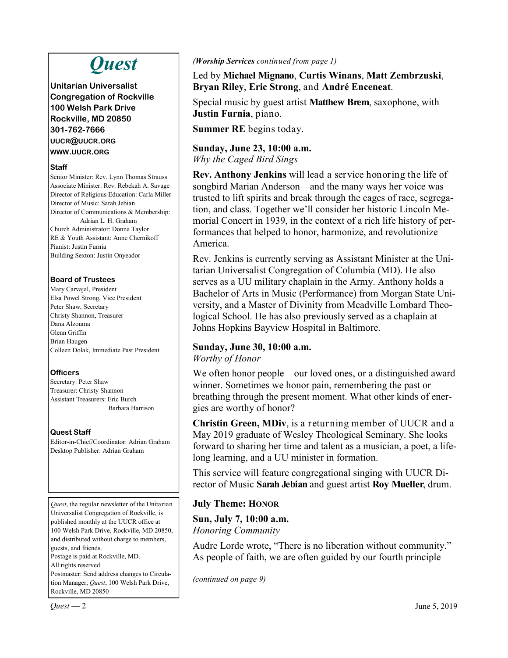# *Quest*

**Unitarian Universalist Congregation of Rockville 100 Welsh Park Drive Rockville, MD 20850 301-762-7666 UUCR@UUCR.ORG WWW.UUCR.ORG**

#### **Staff**

Senior Minister: Rev. Lynn Thomas Strauss Associate Minister: Rev. Rebekah A. Savage Director of Religious Education: Carla Miller Director of Music: Sarah Jebian Director of Communications & Membership: Adrian L. H. Graham Church Administrator: Donna Taylor RE & Youth Assistant: Anne Chernikoff Pianist: Justin Furnia Building Sexton: Justin Onyeador

### **Board of Trustees**

Mary Carvajal, President Elsa Powel Strong, Vice President Peter Shaw, Secretary Christy Shannon, Treasurer Dana Alzouma Glenn Griffin Brian Haugen Colleen Dolak, Immediate Past President

### **Officers**

Secretary: Peter Shaw Treasurer: Christy Shannon Assistant Treasurers: Eric Burch Barbara Harrison

### **Quest Staff**

Editor-in-Chief/Coordinator: Adrian Graham Desktop Publisher: Adrian Graham

*Quest*, the regular newsletter of the Unitarian Universalist Congregation of Rockville, is published monthly at the UUCR office at 100 Welsh Park Drive, Rockville, MD 20850, and distributed without charge to members, guests, and friends. Postage is paid at Rockville, MD. All rights reserved. Postmaster: Send address changes to Circula-

tion Manager, *Quest*, 100 Welsh Park Drive, Rockville, MD 20850

#### *(Worship Services continued from page 1)*

Led by **Michael Mignano**, **Curtis Winans**, **Matt Zembrzuski**, **Bryan Riley**, **Eric Strong**, and **André Enceneat**.

Special music by guest artist **Matthew Brem**, saxophone, with **Justin Furnia**, piano.

**Summer RE** begins today.

### **Sunday, June 23, 10:00 a.m.** *Why the Caged Bird Sings*

**Rev. Anthony Jenkins** will lead a service honoring the life of songbird Marian Anderson—and the many ways her voice was trusted to lift spirits and break through the cages of race, segregation, and class. Together we'll consider her historic Lincoln Memorial Concert in 1939, in the context of a rich life history of performances that helped to honor, harmonize, and revolutionize America.

Rev. Jenkins is currently serving as Assistant Minister at the Unitarian Universalist Congregation of Columbia (MD). He also serves as a UU military chaplain in the Army. Anthony holds a Bachelor of Arts in Music (Performance) from Morgan State University, and a Master of Divinity from Meadville Lombard Theological School. He has also previously served as a chaplain at Johns Hopkins Bayview Hospital in Baltimore.

### **Sunday, June 30, 10:00 a.m.**

*Worthy of Honor*

We often honor people—our loved ones, or a distinguished award winner. Sometimes we honor pain, remembering the past or breathing through the present moment. What other kinds of energies are worthy of honor?

**Christin Green, MDiv**, is a returning member of UUCR and a May 2019 graduate of Wesley Theological Seminary. She looks forward to sharing her time and talent as a musician, a poet, a lifelong learning, and a UU minister in formation.

This service will feature congregational singing with UUCR Director of Music **Sarah Jebian** and guest artist **Roy Mueller**, drum.

### **July Theme: HONOR**

**Sun, July 7, 10:00 a.m.** *Honoring Community*

Audre Lorde wrote, "There is no liberation without community." As people of faith, we are often guided by our fourth principle

*(continued on page 9)*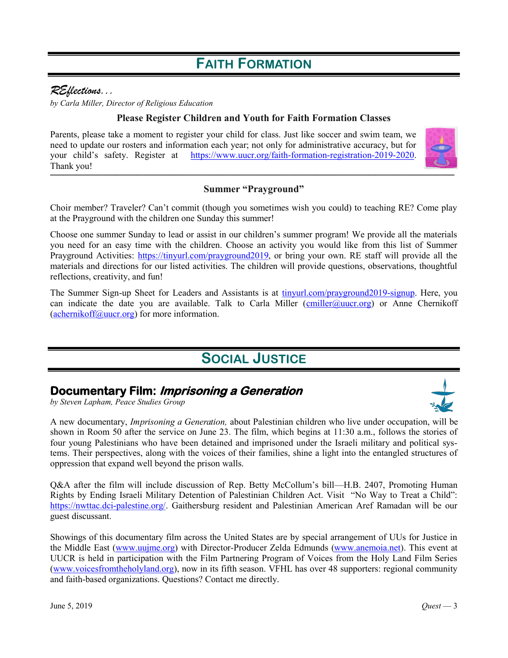## **FAITH FORMATION**

### *REflections...*

*by Carla Miller, Director of Religious Education* 

### **Please Register Children and Youth for Faith Formation Classes**

Parents, please take a moment to register your child for class. Just like soccer and swim team, we need to update our rosters and information each year; not only for administrative accuracy, but for your child's safety. Register at [https://www.uucr.org/faith](https://www.uucr.org/faith-formation-registration-2019-2020)-formation-registration-2019-2020. Thank you! *\_\_\_\_\_\_\_\_\_\_\_\_\_\_\_\_\_\_\_\_\_\_\_\_\_\_\_\_\_\_\_\_\_\_\_\_\_\_\_\_\_\_\_\_\_\_\_\_\_\_\_\_\_\_\_\_\_\_\_\_\_*



### **Summer "Prayground"**

Choir member? Traveler? Can't commit (though you sometimes wish you could) to teaching RE? Come play at the Prayground with the children one Sunday this summer!

Choose one summer Sunday to lead or assist in our children's summer program! We provide all the materials you need for an easy time with the children. Choose an activity you would like from this list of Summer Prayground Activities: [https://tinyurl.com/prayground2019,](https://docs.google.com/document/d/1mWwGEPTvVpoQnlL0GEiTHwqpW3JBsFMAvgWSmxISQl8/edit) or bring your own. RE staff will provide all the materials and directions for our listed activities. The children will provide questions, observations, thoughtful reflections, creativity, and fun!

The Summer Sign-up Sheet for Leaders and Assistants is at [tinyurl.com/prayground2019](https://tinyurl.com/prayground2019-signup)-signup. Here, you can indicate the date you are available. Talk to Carla Miller ([cmiller@uucr.org\)](mailto:cmiller@uucr.org?subject=re:%20Summer%20Prayground) or Anne Chernikoff  $(a$ chernikoff@uucr.org) for more information.

### **SOCIAL JUSTICE**

### **Documentary Film: Imprisoning a Generation**

*by Steven Lapham, Peace Studies Group*

A new documentary, *Imprisoning a Generation,* about Palestinian children who live under occupation, will be shown in Room 50 after the service on June 23. The film, which begins at 11:30 a.m., follows the stories of four young Palestinians who have been detained and imprisoned under the Israeli military and political systems. Their perspectives, along with the voices of their families, shine a light into the entangled structures of oppression that expand well beyond the prison walls.

Q&A after the film will include discussion of Rep. Betty McCollum's bill—H.B. 2407, Promoting Human Rights by Ending Israeli Military Detention of Palestinian Children Act. Visit "No Way to Treat a Child": [https://nwttac.dci](https://nwttac.dci-palestine.org/)-palestine.org/. Gaithersburg resident and Palestinian American Aref Ramadan will be our guest discussant.

Showings of this documentary film across the United States are by special arrangement of UUs for Justice in the Middle East [\(www.uujme.org\)](http://www.uujme.org) with Director-Producer Zelda Edmunds [\(www.anemoia.net\).](http://www.anemoia.net) This event at UUCR is held in participation with the Film Partnering Program of Voices from the Holy Land Film Series [\(www.voicesfromtheholyland.org\)](https://www.voicesfromtheholyland.org/), now in its fifth season. VFHL has over 48 supporters: regional community and faith-based organizations. Questions? Contact me directly.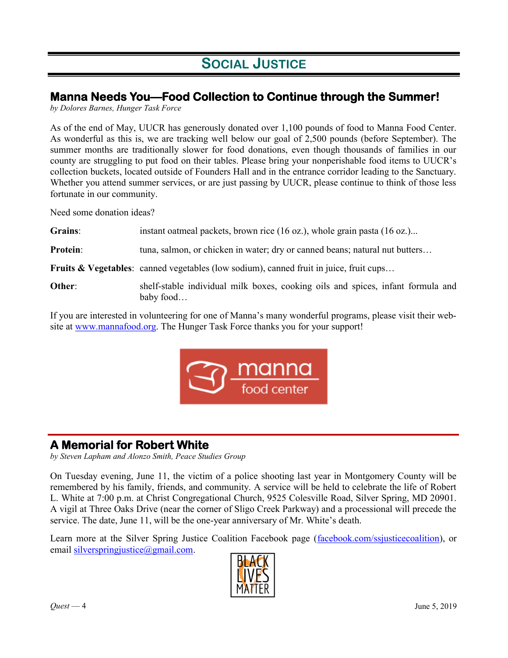## **SOCIAL JUSTICE**

### **Manna Needs You—Food Collection to Continue through the Summer!**

*by Dolores Barnes, Hunger Task Force*

As of the end of May, UUCR has generously donated over 1,100 pounds of food to Manna Food Center. As wonderful as this is, we are tracking well below our goal of 2,500 pounds (before September). The summer months are traditionally slower for food donations, even though thousands of families in our county are struggling to put food on their tables. Please bring your nonperishable food items to UUCR's collection buckets, located outside of Founders Hall and in the entrance corridor leading to the Sanctuary. Whether you attend summer services, or are just passing by UUCR, please continue to think of those less fortunate in our community.

Need some donation ideas?

| Grains:         | instant oatmeal packets, brown rice (16 oz.), whole grain pasta (16 oz.)                          |
|-----------------|---------------------------------------------------------------------------------------------------|
| <b>Protein:</b> | tuna, salmon, or chicken in water; dry or canned beans; natural nut butters                       |
|                 | <b>Fruits &amp; Vegetables:</b> canned vegetables (low sodium), canned fruit in juice, fruit cups |
| Other:          | shelf-stable individual milk boxes, cooking oils and spices, infant formula and<br>baby food      |

If you are interested in volunteering for one of Manna's many wonderful programs, please visit their website at [www.mannafood.org.](http://www.mannafood.org) The Hunger Task Force thanks you for your support!



### **A Memorial for Robert White**

*by Steven Lapham and Alonzo Smith, Peace Studies Group*

On Tuesday evening, June 11, the victim of a police shooting last year in Montgomery County will be remembered by his family, friends, and community. A service will be held to celebrate the life of Robert L. White at 7:00 p.m. at Christ Congregational Church, 9525 Colesville Road, Silver Spring, MD 20901. A vigil at Three Oaks Drive (near the corner of Sligo Creek Parkway) and a processional will precede the service. The date, June 11, will be the one-year anniversary of Mr. White's death.

Learn more at the Silver Spring Justice Coalition Facebook page ([facebook.com/ssjusticecoalition\),](https://www.facebook.com/ssjusticecoalition) or email silverspring ustice@gmail.com.

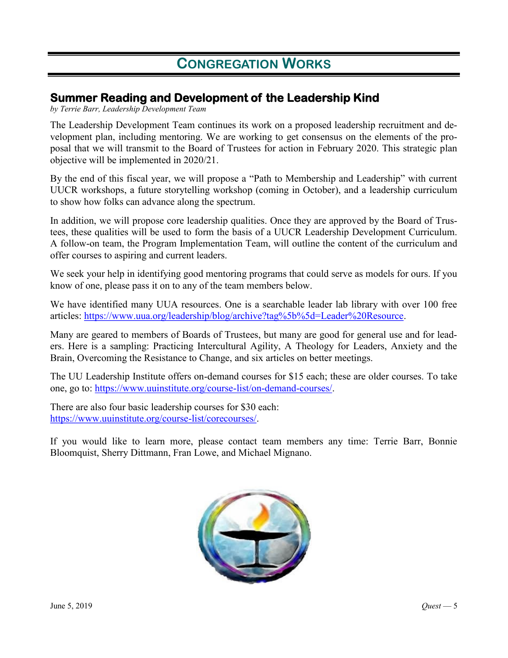### **Summer Reading and Development of the Leadership Kind**

*by Terrie Barr, Leadership Development Team*

The Leadership Development Team continues its work on a proposed leadership recruitment and development plan, including mentoring. We are working to get consensus on the elements of the proposal that we will transmit to the Board of Trustees for action in February 2020. This strategic plan objective will be implemented in 2020/21.

By the end of this fiscal year, we will propose a "Path to Membership and Leadership" with current UUCR workshops, a future storytelling workshop (coming in October), and a leadership curriculum to show how folks can advance along the spectrum.

In addition, we will propose core leadership qualities. Once they are approved by the Board of Trustees, these qualities will be used to form the basis of a UUCR Leadership Development Curriculum. A follow-on team, the Program Implementation Team, will outline the content of the curriculum and offer courses to aspiring and current leaders.

We seek your help in identifying good mentoring programs that could serve as models for ours. If you know of one, please pass it on to any of the team members below.

We have identified many UUA resources. One is a searchable leader lab library with over 100 free articles: [https://www.uua.org/leadership/blog/archive?tag%5b%5d=Leader%20Resource.](https://www.uua.org/leadership/blog/archive?tag%5b%5d=Leader%20Resource)

Many are geared to members of Boards of Trustees, but many are good for general use and for leaders. Here is a sampling: Practicing Intercultural Agility, A Theology for Leaders, Anxiety and the Brain, Overcoming the Resistance to Change, and six articles on better meetings.

The UU Leadership Institute offers on-demand courses for \$15 each; these are older courses. To take one, go to: [https://www.uuinstitute.org/course](https://www.uuinstitute.org/course-list/on-demand-courses/)-list/on-demand-courses/.

There are also four basic leadership courses for \$30 each: [https://www.uuinstitute.org/course](https://www.uuinstitute.org/course-list/corecourses/)-list/corecourses/.

If you would like to learn more, please contact team members any time: Terrie Barr, Bonnie Bloomquist, Sherry Dittmann, Fran Lowe, and Michael Mignano.

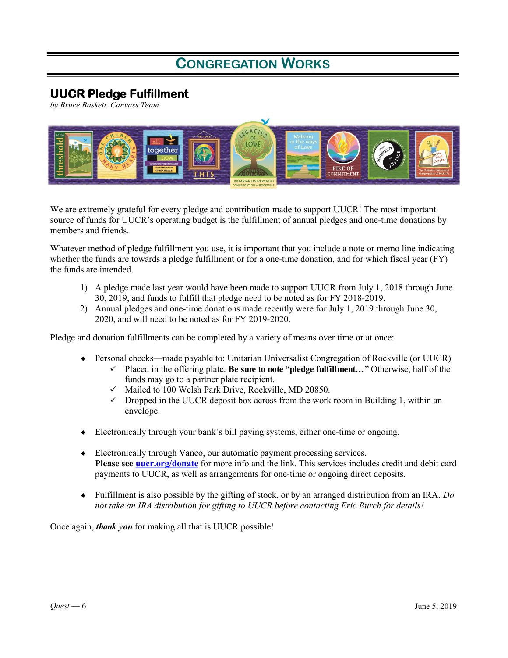### **UUCR Pledge Fulfillment**

*by Bruce Baskett, Canvass Team*



We are extremely grateful for every pledge and contribution made to support UUCR! The most important source of funds for UUCR's operating budget is the fulfillment of annual pledges and one-time donations by members and friends.

Whatever method of pledge fulfillment you use, it is important that you include a note or memo line indicating whether the funds are towards a pledge fulfillment or for a one-time donation, and for which fiscal year (FY) the funds are intended.

- 1) A pledge made last year would have been made to support UUCR from July 1, 2018 through June 30, 2019, and funds to fulfill that pledge need to be noted as for FY 2018-2019.
- 2) Annual pledges and one-time donations made recently were for July 1, 2019 through June 30, 2020, and will need to be noted as for FY 2019-2020.

Pledge and donation fulfillments can be completed by a variety of means over time or at once:

- Personal checks—made payable to: Unitarian Universalist Congregation of Rockville (or UUCR)
	- Placed in the offering plate. **Be sure to note "pledge fulfillment..."** Otherwise, half of the funds may go to a partner plate recipient.
	- $\checkmark$  Mailed to 100 Welsh Park Drive, Rockville, MD 20850.
	- $\checkmark$  Dropped in the UUCR deposit box across from the work room in Building 1, within an envelope.
- Electronically through your bank's bill paying systems, either one-time or ongoing.
- Electronically through Vanco, our automatic payment processing services. **Please see [uucr.org/donate](http://www.uucr.org/donate)** for more info and the link. This services includes credit and debit card payments to UUCR, as well as arrangements for one-time or ongoing direct deposits.
- Fulfillment is also possible by the gifting of stock, or by an arranged distribution from an IRA. *Do not take an IRA distribution for gifting to UUCR before contacting Eric Burch for details!*

Once again, *thank you* for making all that is UUCR possible!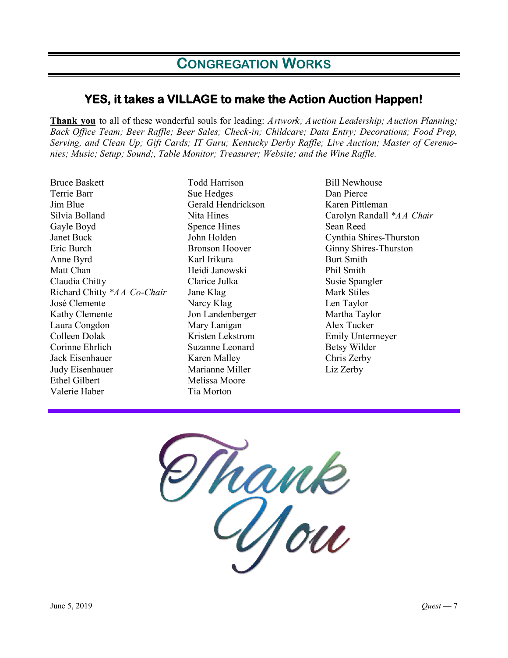### **YES, it takes a VILLAGE to make the Action Auction Happen!**

**Thank you** to all of these wonderful souls for leading: *Artwork; Auction Leadership; Auction Planning; Back Office Team; Beer Raffle; Beer Sales; Check-in; Childcare; Data Entry; Decorations; Food Prep, Serving, and Clean Up; Gift Cards; IT Guru; Kentucky Derby Raffle; Live Auction; Master of Ceremonies; Music; Setup; Sound;, Table Monitor; Treasurer; Website; and the Wine Raffle.*

Bruce Baskett Terrie Barr Jim Blue Silvia Bolland Gayle Boyd Janet Buck Eric Burch Anne Byrd Matt Chan Claudia Chitty Richard Chitty *\*AA Co-Chair* José Clemente Kathy Clemente Laura Congdon Colleen Dolak Corinne Ehrlich Jack Eisenhauer Judy Eisenhauer Ethel Gilbert Valerie Haber

Todd Harrison Sue Hedges Gerald Hendrickson Nita Hines Spence Hines John Holden Bronson Hoover Karl Irikura Heidi Janowski Clarice Julka Jane Klag Narcy Klag Jon Landenberger Mary Lanigan Kristen Lekstrom Suzanne Leonard Karen Malley Marianne Miller Melissa Moore Tia Morton

Bill Newhouse Dan Pierce Karen Pittleman Carolyn Randall *\*AA Chair* Sean Reed Cynthia Shires-Thurston Ginny Shires-Thurston Burt Smith Phil Smith Susie Spangler Mark Stiles Len Taylor Martha Taylor Alex Tucker Emily Untermeyer Betsy Wilder Chris Zerby Liz Zerby

hank<br>Aou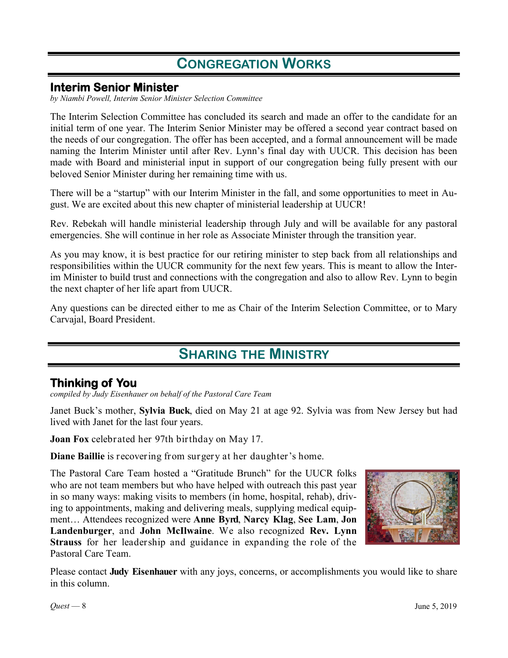### **Interim Senior Minister**

*by Niambi Powell, Interim Senior Minister Selection Committee*

The Interim Selection Committee has concluded its search and made an offer to the candidate for an initial term of one year. The Interim Senior Minister may be offered a second year contract based on the needs of our congregation. The offer has been accepted, and a formal announcement will be made naming the Interim Minister until after Rev. Lynn's final day with UUCR. This decision has been made with Board and ministerial input in support of our congregation being fully present with our beloved Senior Minister during her remaining time with us.

There will be a "startup" with our Interim Minister in the fall, and some opportunities to meet in August. We are excited about this new chapter of ministerial leadership at UUCR!

Rev. Rebekah will handle ministerial leadership through July and will be available for any pastoral emergencies. She will continue in her role as Associate Minister through the transition year.

As you may know, it is best practice for our retiring minister to step back from all relationships and responsibilities within the UUCR community for the next few years. This is meant to allow the Interim Minister to build trust and connections with the congregation and also to allow Rev. Lynn to begin the next chapter of her life apart from UUCR.

Any questions can be directed either to me as Chair of the Interim Selection Committee, or to Mary Carvajal, Board President.

## **SHARING THE MINISTRY**

### **Thinking of You**

*compiled by Judy Eisenhauer on behalf of the Pastoral Care Team*

Janet Buck's mother, **Sylvia Buck**, died on May 21 at age 92. Sylvia was from New Jersey but had lived with Janet for the last four years.

**Joan Fox** celebrated her 97th birthday on May 17.

**Diane Baillie** is recovering from surgery at her daughter's home.

The Pastoral Care Team hosted a "Gratitude Brunch" for the UUCR folks who are not team members but who have helped with outreach this past year in so many ways: making visits to members (in home, hospital, rehab), driving to appointments, making and delivering meals, supplying medical equipment… Attendees recognized were **Anne Byrd**, **Narcy Klag**, **See Lam**, **Jon Landenburger**, and **John McIlwaine**. We also recognized **Rev. Lynn Strauss** for her leadership and guidance in expanding the role of the Pastoral Care Team.



Please contact **Judy Eisenhauer** with any joys, concerns, or accomplishments you would like to share in this column.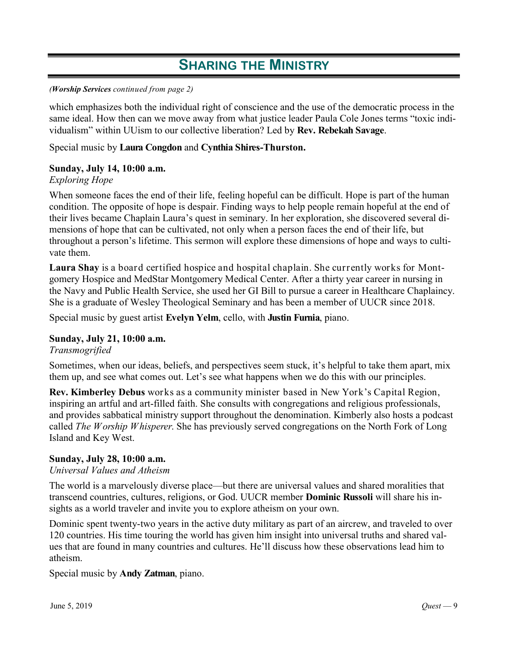## **SHARING THE MINISTRY**

#### *(Worship Services continued from page 2)*

which emphasizes both the individual right of conscience and the use of the democratic process in the same ideal. How then can we move away from what justice leader Paula Cole Jones terms "toxic individualism" within UUism to our collective liberation? Led by **Rev. Rebekah Savage**.

### Special music by **Laura Congdon** and **Cynthia Shires-Thurston.**

### **Sunday, July 14, 10:00 a.m.**

### *Exploring Hope*

When someone faces the end of their life, feeling hopeful can be difficult. Hope is part of the human condition. The opposite of hope is despair. Finding ways to help people remain hopeful at the end of their lives became Chaplain Laura's quest in seminary. In her exploration, she discovered several dimensions of hope that can be cultivated, not only when a person faces the end of their life, but throughout a person's lifetime. This sermon will explore these dimensions of hope and ways to cultivate them.

**Laura Shay** is a board certified hospice and hospital chaplain. She currently works for Montgomery Hospice and MedStar Montgomery Medical Center. After a thirty year career in nursing in the Navy and Public Health Service, she used her GI Bill to pursue a career in Healthcare Chaplaincy. She is a graduate of Wesley Theological Seminary and has been a member of UUCR since 2018.

Special music by guest artist **Evelyn Yelm**, cello, with **Justin Furnia**, piano.

### **Sunday, July 21, 10:00 a.m.**

*Transmogrified*

Sometimes, when our ideas, beliefs, and perspectives seem stuck, it's helpful to take them apart, mix them up, and see what comes out. Let's see what happens when we do this with our principles.

**Rev. Kimberley Debus** works as a community minister based in New York's Capital Region, inspiring an artful and art-filled faith. She consults with congregations and religious professionals, and provides sabbatical ministry support throughout the denomination. Kimberly also hosts a podcast called *The Worship Whisperer*. She has previously served congregations on the North Fork of Long Island and Key West.

### **Sunday, July 28, 10:00 a.m.**

### *Universal Values and Atheism*

The world is a marvelously diverse place—but there are universal values and shared moralities that transcend countries, cultures, religions, or God. UUCR member **Dominic Russoli** will share his insights as a world traveler and invite you to explore atheism on your own.

Dominic spent twenty-two years in the active duty military as part of an aircrew, and traveled to over 120 countries. His time touring the world has given him insight into universal truths and shared values that are found in many countries and cultures. He'll discuss how these observations lead him to atheism.

Special music by **Andy Zatman**, piano.